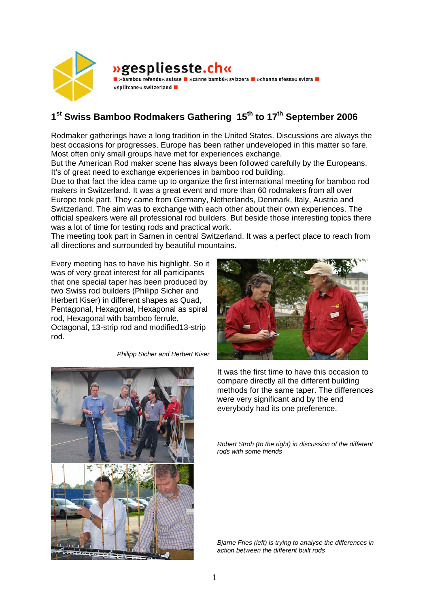

## **»gespliesste.ch« D** »bambou refendu« suisse **D** »canne bambù« svizzera D »channa sfessa« svizra D

»splitcane« switzerland

## 1<sup>st</sup> Swiss Bamboo Rodmakers Gathering 15<sup>th</sup> to 17<sup>th</sup> September 2006

Rodmaker gatherings have a long tradition in the United States. Discussions are always the best occasions for progresses. Europe has been rather undeveloped in this matter so fare. Most often only small groups have met for experiences exchange.

But the American Rod maker scene has always been followed carefully by the Europeans. It's of great need to exchange experiences in bamboo rod building.

Due to that fact the idea came up to organize the first international meeting for bamboo rod makers in Switzerland. It was a great event and more than 60 rodmakers from all over Europe took part. They came from Germany, Netherlands, Denmark, Italy, Austria and Switzerland. The aim was to exchange with each other about their own experiences. The official speakers were all professional rod builders. But beside those interesting topics there was a lot of time for testing rods and practical work.

The meeting took part in Sarnen in central Switzerland. It was a perfect place to reach from all directions and surrounded by beautiful mountains.

Every meeting has to have his highlight. So it was of very great interest for all participants that one special taper has been produced by two Swiss rod builders (Philipp Sicher and Herbert Kiser) in different shapes as Quad, Pentagonal, Hexagonal, Hexagonal as spiral rod, Hexagonal with bamboo ferrule, Octagonal, 13-strip rod and modified13-strip rod.

*Philipp Sicher and Herbert Kiser* 





It was the first time to have this occasion to compare directly all the different building methods for the same taper. The differences were very significant and by the end everybody had its one preference.

*Robert Stroh (to the right) in discussion of the different rods with some friends* 

*Bjarne Fries (left) is trying to analyse the differences in action between the different built rods*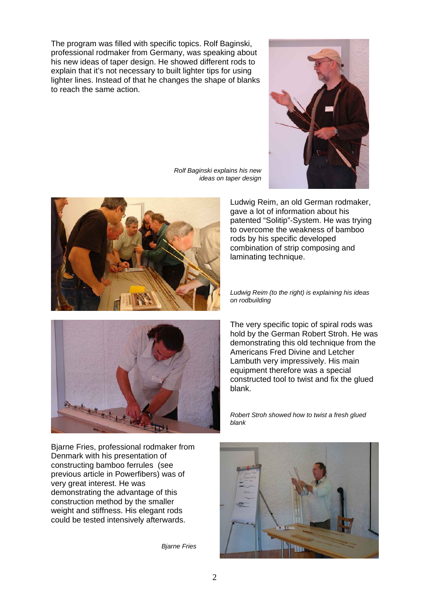The program was filled with specific topics. Rolf Baginski, professional rodmaker from Germany, was speaking about his new ideas of taper design. He showed different rods to explain that it's not necessary to built lighter tips for using lighter lines. Instead of that he changes the shape of blanks to reach the same action.



*Rolf Baginski explains his new ideas on taper design* 





Bjarne Fries, professional rodmaker from Denmark with his presentation of constructing bamboo ferrules (see previous article in Powerfibers) was of very great interest. He was demonstrating the advantage of this construction method by the smaller weight and stiffness. His elegant rods could be tested intensively afterwards.

*Bjarne Fries* 

Ludwig Reim, an old German rodmaker, gave a lot of information about his patented "Solitip"-System. He was trying to overcome the weakness of bamboo rods by his specific developed combination of strip composing and laminating technique.

*Ludwig Reim (to the right) is explaining his ideas on rodbuilding*

The very specific topic of spiral rods was hold by the German Robert Stroh. He was demonstrating this old technique from the Americans Fred Divine and Letcher Lambuth very impressively. His main equipment therefore was a special constructed tool to twist and fix the glued blank.

*Robert Stroh showed how to twist a fresh glued blank* 

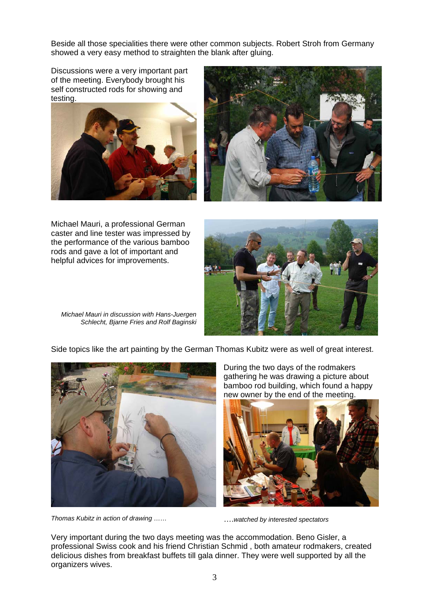Beside all those specialities there were other common subjects. Robert Stroh from Germany showed a very easy method to straighten the blank after gluing.

Discussions were a very important part of the meeting. Everybody brought his self constructed rods for showing and testing.





Michael Mauri, a professional German caster and line tester was impressed by the performance of the various bamboo rods and gave a lot of important and helpful advices for improvements.



*Michael Mauri in discussion with Hans-Juergen Schlecht, Bjarne Fries and Rolf Baginski* 

Side topics like the art painting by the German Thomas Kubitz were as well of great interest.



*Thomas Kubitz in action of drawing ……* ….*watched by interested spectators* 

During the two days of the rodmakers gathering he was drawing a picture about bamboo rod building, which found a happy new owner by the end of the meeting.



Very important during the two days meeting was the accommodation. Beno Gisler, a professional Swiss cook and his friend Christian Schmid , both amateur rodmakers, created delicious dishes from breakfast buffets till gala dinner. They were well supported by all the organizers wives.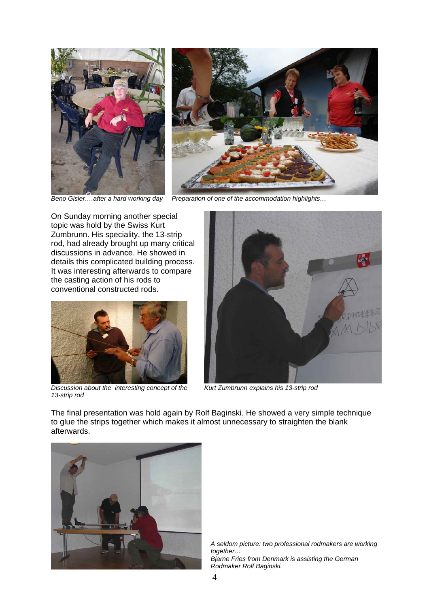



*Beno Gisler….after a hard working day Preparation of one of the accommodation highlights…* 

On Sunday morning another special topic was hold by the Swiss Kurt Zumbrunn. His speciality, the 13-strip rod, had already brought up many critical discussions in advance. He showed in details this complicated building process. It was interesting afterwards to compare the casting action of his rods to conventional constructed rods.



*Discussion about the interesting concept of the 13-strip rod* 



*Kurt Zumbrunn explains his 13-strip rod* 

The final presentation was hold again by Rolf Baginski. He showed a very simple technique to glue the strips together which makes it almost unnecessary to straighten the blank afterwards.



*A seldom picture: two professional rodmakers are working together… Bjarne Fries from Denmark is assisting the German Rodmaker Rolf Baginski.*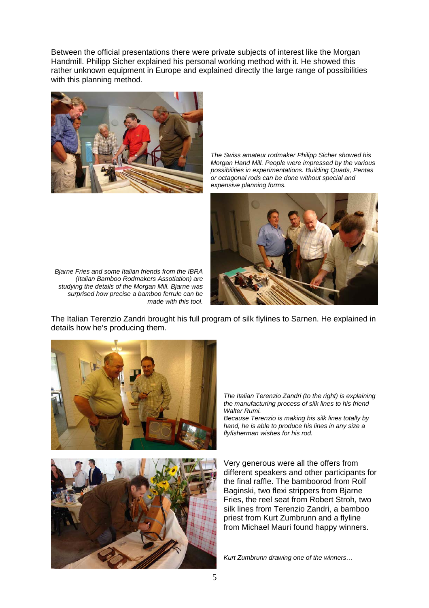Between the official presentations there were private subjects of interest like the Morgan Handmill. Philipp Sicher explained his personal working method with it. He showed this rather unknown equipment in Europe and explained directly the large range of possibilities with this planning method.



*The Swiss amateur rodmaker Philipp Sicher showed his Morgan Hand Mill. People were impressed by the various possibilities in experimentations. Building Quads, Pentas or octagonal rods can be done without special and expensive planning forms.* 



*Bjarne Fries and some Italian friends from the IBRA (Italian Bamboo Rodmakers Assotiation) are studying the details of the Morgan Mill. Bjarne was surprised how precise a bamboo ferrule can be made with this tool.* 

The Italian Terenzio Zandri brought his full program of silk flylines to Sarnen. He explained in details how he's producing them.



*The Italian Terenzio Zandri (to the right) is explaining the manufacturing process of silk lines to his friend Walter Rumi.* 

*Because Terenzio is making his silk lines totally by hand, he is able to produce his lines in any size a flyfisherman wishes for his rod.* 

Very generous were all the offers from different speakers and other participants for the final raffle. The bamboorod from Rolf Baginski, two flexi strippers from Bjarne Fries, the reel seat from Robert Stroh, two silk lines from Terenzio Zandri, a bamboo priest from Kurt Zumbrunn and a flyline from Michael Mauri found happy winners.

*Kurt Zumbrunn drawing one of the winners…*